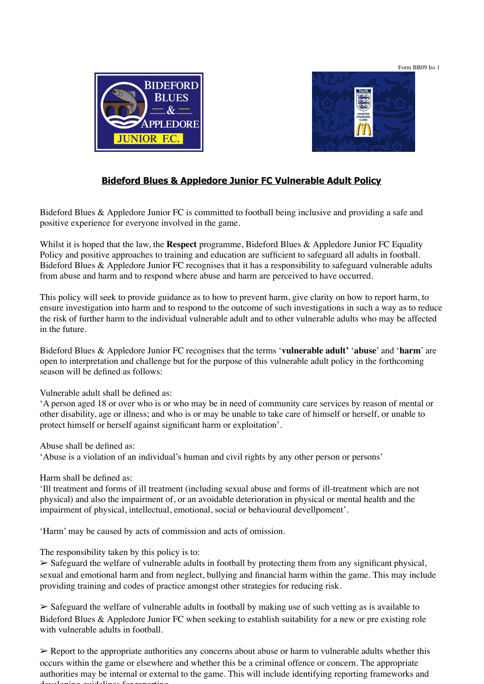Form BB09 Iss 1





## **Bideford Blues & Appledore Junior FC Vulnerable Adult Policy**

Bideford Blues & Appledore Junior FC is committed to football being inclusive and providing a safe and positive experience for everyone involved in the game.

Whilst it is hoped that the law, the **Respect** programme, Bideford Blues & Appledore Junior FC Equality Policy and positive approaches to training and education are sufficient to safeguard all adults in football. Bideford Blues & Appledore Junior FC recognises that it has a responsibility to safeguard vulnerable adults from abuse and harm and to respond where abuse and harm are perceived to have occurred.

This policy will seek to provide guidance as to how to prevent harm, give clarity on how to report harm, to ensure investigation into harm and to respond to the outcome of such investigations in such a way as to reduce the risk of further harm to the individual vulnerable adult and to other vulnerable adults who may be affected in the future.

Bideford Blues & Appledore Junior FC recognises that the terms '**vulnerable adult'** '**abuse**' and '**harm**' are open to interpretation and challenge but for the purpose of this vulnerable adult policy in the forthcoming season will be defined as follows:

Vulnerable adult shall be defined as:

'A person aged 18 or over who is or who may be in need of community care services by reason of mental or other disability, age or illness; and who is or may be unable to take care of himself or herself, or unable to protect himself or herself against significant harm or exploitation'.

Abuse shall be defined as:

'Abuse is a violation of an individual's human and civil rights by any other person or persons'

Harm shall be defined as:

'Ill treatment and forms of ill treatment (including sexual abuse and forms of ill-treatment which are not physical) and also the impairment of, or an avoidable deterioration in physical or mental health and the impairment of physical, intellectual, emotional, social or behavioural devellpoment'.

'Harm' may be caused by acts of commission and acts of omission.

The responsibility taken by this policy is to:

 $\geq$  Safeguard the welfare of vulnerable adults in football by protecting them from any significant physical, sexual and emotional harm and from neglect, bullying and financial harm within the game. This may include providing training and codes of practice amongst other strategies for reducing risk.

 $\geq$  Safeguard the welfare of vulnerable adults in football by making use of such vetting as is available to Bideford Blues & Appledore Junior FC when seeking to establish suitability for a new or pre existing role with vulnerable adults in football.

➢ Report to the appropriate authorities any concerns about abuse or harm to vulnerable adults whether this occurs within the game or elsewhere and whether this be a criminal offence or concern. The appropriate authorities may be internal or external to the game. This will include identifying reporting frameworks and developing guidelines for reporting.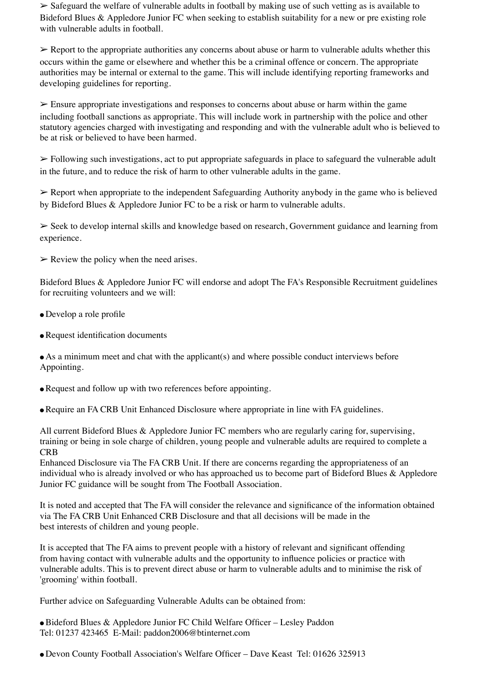$\triangleright$  Safeguard the welfare of vulnerable adults in football by making use of such vetting as is available to Bideford Blues & Appledore Junior FC when seeking to establish suitability for a new or pre existing role with vulnerable adults in football.

 $\triangleright$  Report to the appropriate authorities any concerns about abuse or harm to vulnerable adults whether this occurs within the game or elsewhere and whether this be a criminal offence or concern. The appropriate authorities may be internal or external to the game. This will include identifying reporting frameworks and developing guidelines for reporting.

 $\geq$  Ensure appropriate investigations and responses to concerns about abuse or harm within the game including football sanctions as appropriate. This will include work in partnership with the police and other statutory agencies charged with investigating and responding and with the vulnerable adult who is believed to be at risk or believed to have been harmed.

➢ Following such investigations, act to put appropriate safeguards in place to safeguard the vulnerable adult in the future, and to reduce the risk of harm to other vulnerable adults in the game.

➢ Report when appropriate to the independent Safeguarding Authority anybody in the game who is believed by Bideford Blues & Appledore Junior FC to be a risk or harm to vulnerable adults.

➢ Seek to develop internal skills and knowledge based on research, Government guidance and learning from experience.

 $\triangleright$  Review the policy when the need arises.

Bideford Blues & Appledore Junior FC will endorse and adopt The FA's Responsible Recruitment guidelines for recruiting volunteers and we will:

- Develop a role profile
- Request identification documents

• As a minimum meet and chat with the applicant(s) and where possible conduct interviews before Appointing.

- Request and follow up with two references before appointing.
- Require an FA CRB Unit Enhanced Disclosure where appropriate in line with FA guidelines.

All current Bideford Blues & Appledore Junior FC members who are regularly caring for, supervising, training or being in sole charge of children, young people and vulnerable adults are required to complete a **CRB** 

Enhanced Disclosure via The FA CRB Unit. If there are concerns regarding the appropriateness of an individual who is already involved or who has approached us to become part of Bideford Blues & Appledore Junior FC guidance will be sought from The Football Association.

It is noted and accepted that The FA will consider the relevance and significance of the information obtained via The FA CRB Unit Enhanced CRB Disclosure and that all decisions will be made in the best interests of children and young people.

It is accepted that The FA aims to prevent people with a history of relevant and significant offending from having contact with vulnerable adults and the opportunity to influence policies or practice with vulnerable adults. This is to prevent direct abuse or harm to vulnerable adults and to minimise the risk of 'grooming' within football.

Further advice on Safeguarding Vulnerable Adults can be obtained from:

● Bideford Blues & Appledore Junior FC Child Welfare Officer – Lesley Paddon Tel: 01237 423465 E-Mail: paddon2006@btinternet.com

● Devon County Football Association's Welfare Officer – Dave Keast Tel: 01626 325913